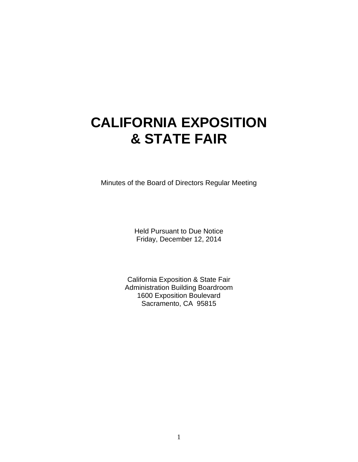# **CALIFORNIA EXPOSITION & STATE FAIR**

Minutes of the Board of Directors Regular Meeting

Held Pursuant to Due Notice Friday, December 12, 2014

California Exposition & State Fair Administration Building Boardroom 1600 Exposition Boulevard Sacramento, CA 95815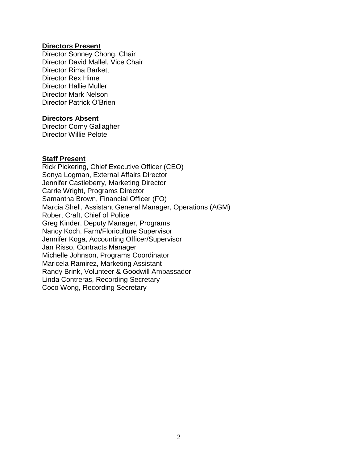### **Directors Present**

Director Sonney Chong, Chair Director David Mallel, Vice Chair Director Rima Barkett Director Rex Hime Director Hallie Muller Director Mark Nelson Director Patrick O'Brien

#### **Directors Absent**

Director Corny Gallagher Director Willie Pelote

#### **Staff Present**

Rick Pickering, Chief Executive Officer (CEO) Sonya Logman, External Affairs Director Jennifer Castleberry, Marketing Director Carrie Wright, Programs Director Samantha Brown, Financial Officer (FO) Marcia Shell, Assistant General Manager, Operations (AGM) Robert Craft, Chief of Police Greg Kinder, Deputy Manager, Programs Nancy Koch, Farm/Floriculture Supervisor Jennifer Koga, Accounting Officer/Supervisor Jan Risso, Contracts Manager Michelle Johnson, Programs Coordinator Maricela Ramirez, Marketing Assistant Randy Brink, Volunteer & Goodwill Ambassador Linda Contreras, Recording Secretary Coco Wong, Recording Secretary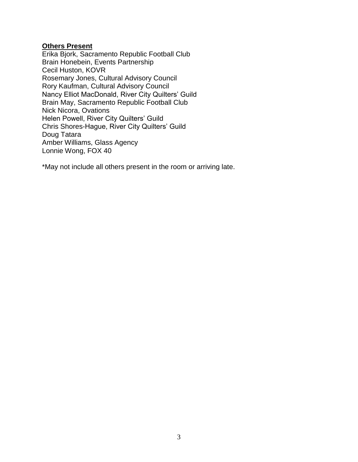# **Others Present**

Erika Bjork, Sacramento Republic Football Club Brain Honebein, Events Partnership Cecil Huston, KOVR Rosemary Jones, Cultural Advisory Council Rory Kaufman, Cultural Advisory Council Nancy Elliot MacDonald, River City Quilters' Guild Brain May, Sacramento Republic Football Club Nick Nicora, Ovations Helen Powell, River City Quilters' Guild Chris Shores-Hague, River City Quilters' Guild Doug Tatara Amber Williams, Glass Agency Lonnie Wong, FOX 40

\*May not include all others present in the room or arriving late.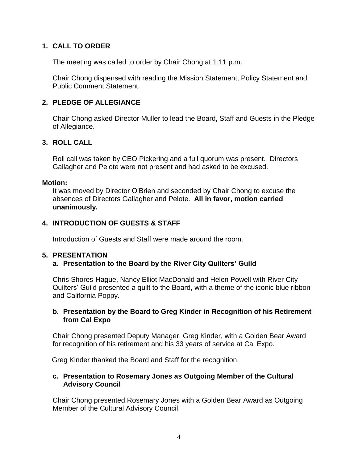## **1. CALL TO ORDER**

The meeting was called to order by Chair Chong at 1:11 p.m.

Chair Chong dispensed with reading the Mission Statement, Policy Statement and Public Comment Statement.

## **2. PLEDGE OF ALLEGIANCE**

Chair Chong asked Director Muller to lead the Board, Staff and Guests in the Pledge of Allegiance.

## **3. ROLL CALL**

Roll call was taken by CEO Pickering and a full quorum was present. Directors Gallagher and Pelote were not present and had asked to be excused.

#### **Motion:**

It was moved by Director O'Brien and seconded by Chair Chong to excuse the absences of Directors Gallagher and Pelote. **All in favor, motion carried unanimously.**

## **4. INTRODUCTION OF GUESTS & STAFF**

Introduction of Guests and Staff were made around the room.

## **5. PRESENTATION**

## **a. Presentation to the Board by the River City Quilters' Guild**

Chris Shores-Hague, Nancy Elliot MacDonald and Helen Powell with River City Quilters' Guild presented a quilt to the Board, with a theme of the iconic blue ribbon and California Poppy.

## **b. Presentation by the Board to Greg Kinder in Recognition of his Retirement from Cal Expo**

Chair Chong presented Deputy Manager, Greg Kinder, with a Golden Bear Award for recognition of his retirement and his 33 years of service at Cal Expo.

Greg Kinder thanked the Board and Staff for the recognition.

## **c. Presentation to Rosemary Jones as Outgoing Member of the Cultural Advisory Council**

Chair Chong presented Rosemary Jones with a Golden Bear Award as Outgoing Member of the Cultural Advisory Council.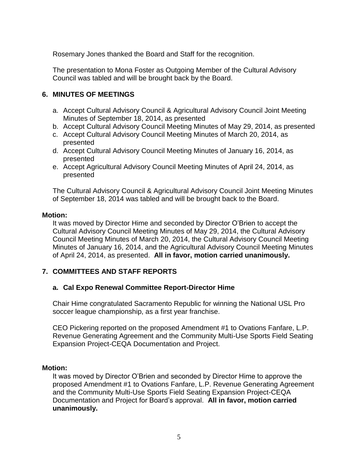Rosemary Jones thanked the Board and Staff for the recognition.

The presentation to Mona Foster as Outgoing Member of the Cultural Advisory Council was tabled and will be brought back by the Board.

# **6. MINUTES OF MEETINGS**

- a. Accept Cultural Advisory Council & Agricultural Advisory Council Joint Meeting Minutes of September 18, 2014, as presented
- b. Accept Cultural Advisory Council Meeting Minutes of May 29, 2014, as presented
- c. Accept Cultural Advisory Council Meeting Minutes of March 20, 2014, as presented
- d. Accept Cultural Advisory Council Meeting Minutes of January 16, 2014, as presented
- e. Accept Agricultural Advisory Council Meeting Minutes of April 24, 2014, as presented

The Cultural Advisory Council & Agricultural Advisory Council Joint Meeting Minutes of September 18, 2014 was tabled and will be brought back to the Board.

#### **Motion:**

It was moved by Director Hime and seconded by Director O'Brien to accept the Cultural Advisory Council Meeting Minutes of May 29, 2014, the Cultural Advisory Council Meeting Minutes of March 20, 2014, the Cultural Advisory Council Meeting Minutes of January 16, 2014, and the Agricultural Advisory Council Meeting Minutes of April 24, 2014, as presented. **All in favor, motion carried unanimously.**

## **7. COMMITTEES AND STAFF REPORTS**

## **a. Cal Expo Renewal Committee Report-Director Hime**

Chair Hime congratulated Sacramento Republic for winning the National USL Pro soccer league championship, as a first year franchise.

CEO Pickering reported on the proposed Amendment #1 to Ovations Fanfare, L.P. Revenue Generating Agreement and the Community Multi-Use Sports Field Seating Expansion Project-CEQA Documentation and Project.

#### **Motion:**

It was moved by Director O'Brien and seconded by Director Hime to approve the proposed Amendment #1 to Ovations Fanfare, L.P. Revenue Generating Agreement and the Community Multi-Use Sports Field Seating Expansion Project-CEQA Documentation and Project for Board's approval. **All in favor, motion carried unanimously.**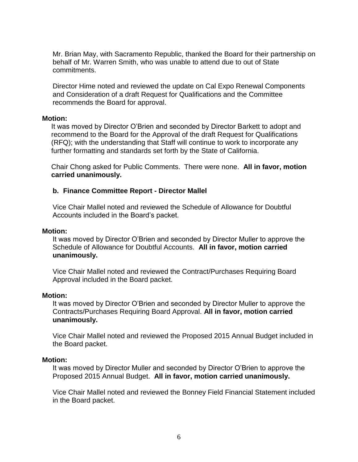Mr. Brian May, with Sacramento Republic, thanked the Board for their partnership on behalf of Mr. Warren Smith, who was unable to attend due to out of State commitments.

Director Hime noted and reviewed the update on Cal Expo Renewal Components and Consideration of a draft Request for Qualifications and the Committee recommends the Board for approval.

#### **Motion:**

It was moved by Director O'Brien and seconded by Director Barkett to adopt and recommend to the Board for the Approval of the draft Request for Qualifications (RFQ); with the understanding that Staff will continue to work to incorporate any further formatting and standards set forth by the State of California.

Chair Chong asked for Public Comments. There were none. **All in favor, motion carried unanimously.**

## **b. Finance Committee Report - Director Mallel**

Vice Chair Mallel noted and reviewed the Schedule of Allowance for Doubtful Accounts included in the Board's packet.

#### **Motion:**

It was moved by Director O'Brien and seconded by Director Muller to approve the Schedule of Allowance for Doubtful Accounts. **All in favor, motion carried unanimously.**

Vice Chair Mallel noted and reviewed the Contract/Purchases Requiring Board Approval included in the Board packet.

#### **Motion:**

It was moved by Director O'Brien and seconded by Director Muller to approve the Contracts/Purchases Requiring Board Approval. **All in favor, motion carried unanimously.**

Vice Chair Mallel noted and reviewed the Proposed 2015 Annual Budget included in the Board packet.

#### **Motion:**

It was moved by Director Muller and seconded by Director O'Brien to approve the Proposed 2015 Annual Budget. **All in favor, motion carried unanimously.**

Vice Chair Mallel noted and reviewed the Bonney Field Financial Statement included in the Board packet.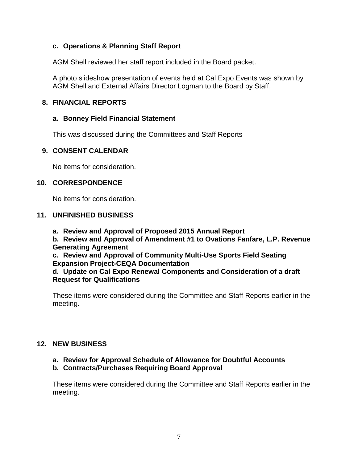## **c. Operations & Planning Staff Report**

AGM Shell reviewed her staff report included in the Board packet.

A photo slideshow presentation of events held at Cal Expo Events was shown by AGM Shell and External Affairs Director Logman to the Board by Staff.

## **8. FINANCIAL REPORTS**

## **a. Bonney Field Financial Statement**

This was discussed during the Committees and Staff Reports

## **9. CONSENT CALENDAR**

No items for consideration.

## **10. CORRESPONDENCE**

No items for consideration.

## **11. UNFINISHED BUSINESS**

**a. Review and Approval of Proposed 2015 Annual Report**

**b. Review and Approval of Amendment #1 to Ovations Fanfare, L.P. Revenue Generating Agreement**

**c. Review and Approval of Community Multi-Use Sports Field Seating Expansion Project-CEQA Documentation**

## **d. Update on Cal Expo Renewal Components and Consideration of a draft Request for Qualifications**

These items were considered during the Committee and Staff Reports earlier in the meeting.

# **12. NEW BUSINESS**

# **a. Review for Approval Schedule of Allowance for Doubtful Accounts**

# **b. Contracts/Purchases Requiring Board Approval**

These items were considered during the Committee and Staff Reports earlier in the meeting.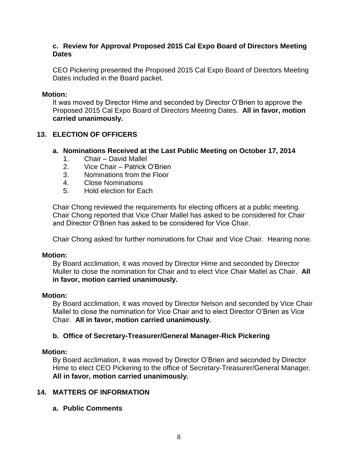## **c. Review for Approval Proposed 2015 Cal Expo Board of Directors Meeting Dates**

CEO Pickering presented the Proposed 2015 Cal Expo Board of Directors Meeting Dates included in the Board packet.

## **Motion:**

It was moved by Director Hime and seconded by Director O'Brien to approve the Proposed 2015 Cal Expo Board of Directors Meeting Dates. **All in favor, motion carried unanimously.**

# **13. ELECTION OF OFFICERS**

# **a. Nominations Received at the Last Public Meeting on October 17, 2014**

- 1. Chair David Mallel
- 2. Vice Chair Patrick O'Brien
- 3. Nominations from the Floor
- 4. Close Nominations
- 5. Hold election for Each

Chair Chong reviewed the requirements for electing officers at a public meeting. Chair Chong reported that Vice Chair Mallel has asked to be considered for Chair and Director O'Brien has asked to be considered for Vice Chair.

Chair Chong asked for further nominations for Chair and Vice Chair. Hearing none.

## **Motion:**

By Board acclimation, it was moved by Director Hime and seconded by Director Muller to close the nomination for Chair and to elect Vice Chair Mallel as Chair. **All in favor, motion carried unanimously.**

# **Motion:**

By Board acclimation, it was moved by Director Nelson and seconded by Vice Chair Mallel to close the nomination for Vice Chair and to elect Director O'Brien as Vice Chair. **All in favor, motion carried unanimously.**

# **b. Office of Secretary-Treasurer/General Manager-Rick Pickering**

# **Motion:**

By Board acclimation, it was moved by Director O'Brien and seconded by Director Hime to elect CEO Pickering to the office of Secretary-Treasurer/General Manager. **All in favor, motion carried unanimously.**

# **14. MATTERS OF INFORMATION**

**a. Public Comments**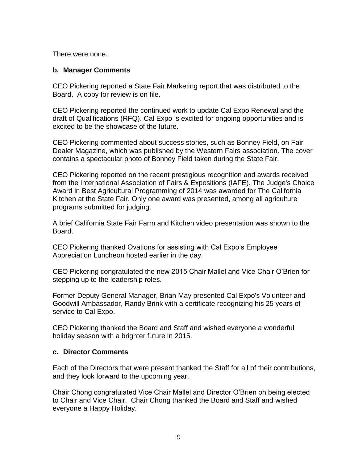There were none.

#### **b. Manager Comments**

CEO Pickering reported a State Fair Marketing report that was distributed to the Board. A copy for review is on file.

CEO Pickering reported the continued work to update Cal Expo Renewal and the draft of Qualifications (RFQ). Cal Expo is excited for ongoing opportunities and is excited to be the showcase of the future.

CEO Pickering commented about success stories, such as Bonney Field, on Fair Dealer Magazine, which was published by the Western Fairs association. The cover contains a spectacular photo of Bonney Field taken during the State Fair.

CEO Pickering reported on the recent prestigious recognition and awards received from the International Association of Fairs & Expositions (IAFE). The Judge's Choice Award in Best Agricultural Programming of 2014 was awarded for The California Kitchen at the State Fair. Only one award was presented, among all agriculture programs submitted for judging.

A brief California State Fair Farm and Kitchen video presentation was shown to the Board.

CEO Pickering thanked Ovations for assisting with Cal Expo's Employee Appreciation Luncheon hosted earlier in the day.

CEO Pickering congratulated the new 2015 Chair Mallel and Vice Chair O'Brien for stepping up to the leadership roles.

Former Deputy General Manager, Brian May presented Cal Expo's Volunteer and Goodwill Ambassador, Randy Brink with a certificate recognizing his 25 years of service to Cal Expo.

CEO Pickering thanked the Board and Staff and wished everyone a wonderful holiday season with a brighter future in 2015.

#### **c. Director Comments**

Each of the Directors that were present thanked the Staff for all of their contributions, and they look forward to the upcoming year.

Chair Chong congratulated Vice Chair Mallel and Director O'Brien on being elected to Chair and Vice Chair. Chair Chong thanked the Board and Staff and wished everyone a Happy Holiday.